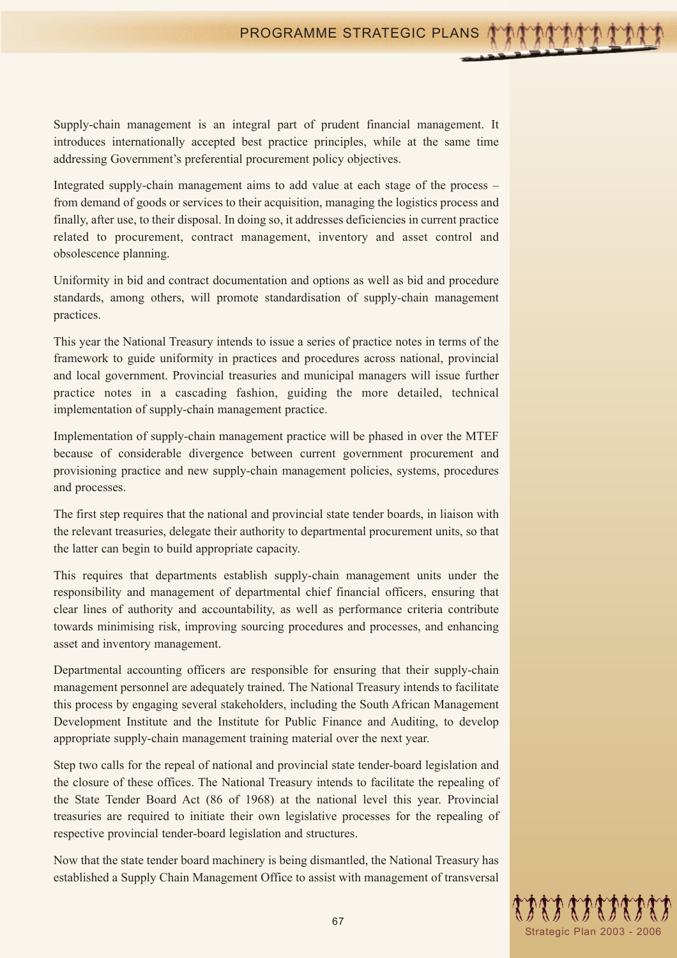Supply-chain management is an integral part of prudent financial management. It introduces internationally accepted best practice principles, while at the same time addressing Government's preferential procurement policy objectives.

Integrated supply-chain management aims to add value at each stage of the process – from demand of goods or services to their acquisition, managing the logistics process and finally, after use, to their disposal. In doing so, it addresses deficiencies in current practice related to procurement, contract management, inventory and asset control and obsolescence planning.

Uniformity in bid and contract documentation and options as well as bid and procedure standards, among others, will promote standardisation of supply-chain management practices.

This year the National Treasury intends to issue a series of practice notes in terms of the framework to guide uniformity in practices and procedures across national, provincial and local government. Provincial treasuries and municipal managers will issue further practice notes in a cascading fashion, guiding the more detailed, technical implementation of supply-chain management practice.

Implementation of supply-chain management practice will be phased in over the MTEF because of considerable divergence between current government procurement and provisioning practice and new supply-chain management policies, systems, procedures and processes.

The first step requires that the national and provincial state tender boards, in liaison with the relevant treasuries, delegate their authority to departmental procurement units, so that the latter can begin to build appropriate capacity.

This requires that departments establish supply-chain management units under the responsibility and management of departmental chief financial officers, ensuring that clear lines of authority and accountability, as well as performance criteria contribute towards minimising risk, improving sourcing procedures and processes, and enhancing asset and inventory management.

Departmental accounting officers are responsible for ensuring that their supply-chain management personnel are adequately trained. The National Treasury intends to facilitate this process by engaging several stakeholders, including the South African Management Development Institute and the Institute for Public Finance and Auditing, to develop appropriate supply-chain management training material over the next year.

Step two calls for the repeal of national and provincial state tender-board legislation and the closure of these offices. The National Treasury intends to facilitate the repealing of the State Tender Board Act (86 of 1968) at the national level this year. Provincial treasuries are required to initiate their own legislative processes for the repealing of respective provincial tender-board legislation and structures.

Now that the state tender board machinery is being dismantled, the National Treasury has established a Supply Chain Management Office to assist with management of transversal

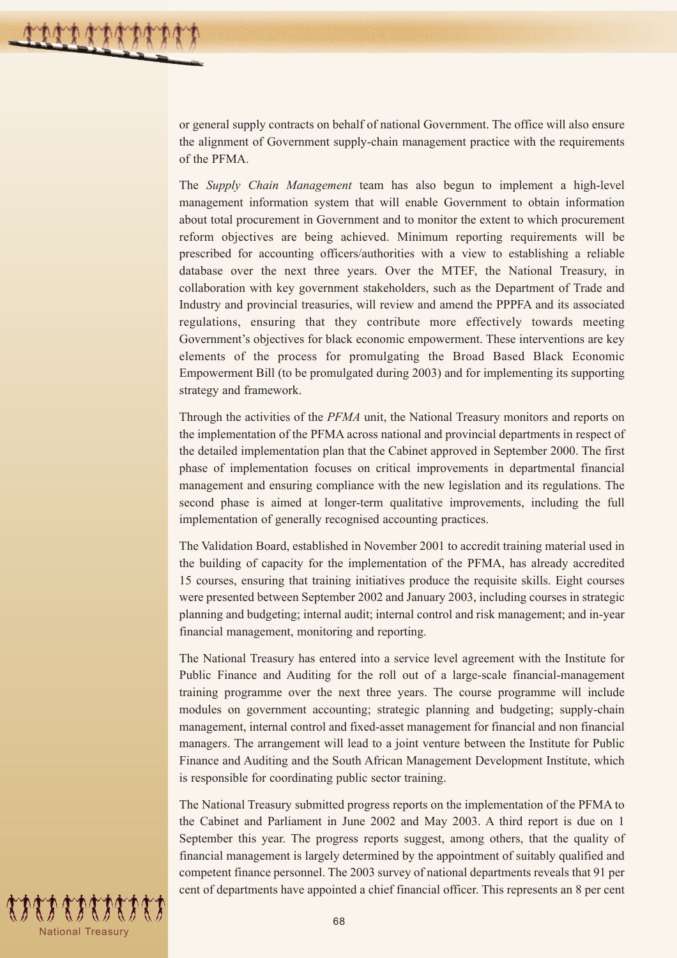or general supply contracts on behalf of national Government. The office will also ensure the alignment of Government supply-chain management practice with the requirements of the PFMA.

The *Supply Chain Management* team has also begun to implement a high-level management information system that will enable Government to obtain information about total procurement in Government and to monitor the extent to which procurement reform objectives are being achieved. Minimum reporting requirements will be prescribed for accounting officers/authorities with a view to establishing a reliable database over the next three years. Over the MTEF, the National Treasury, in collaboration with key government stakeholders, such as the Department of Trade and Industry and provincial treasuries, will review and amend the PPPFA and its associated regulations, ensuring that they contribute more effectively towards meeting Government's objectives for black economic empowerment. These interventions are key elements of the process for promulgating the Broad Based Black Economic Empowerment Bill (to be promulgated during 2003) and for implementing its supporting strategy and framework.

Through the activities of the *PFMA* unit, the National Treasury monitors and reports on the implementation of the PFMA across national and provincial departments in respect of the detailed implementation plan that the Cabinet approved in September 2000. The first phase of implementation focuses on critical improvements in departmental financial management and ensuring compliance with the new legislation and its regulations. The second phase is aimed at longer-term qualitative improvements, including the full implementation of generally recognised accounting practices.

The Validation Board, established in November 2001 to accredit training material used in the building of capacity for the implementation of the PFMA, has already accredited 15 courses, ensuring that training initiatives produce the requisite skills. Eight courses were presented between September 2002 and January 2003, including courses in strategic planning and budgeting; internal audit; internal control and risk management; and in-year financial management, monitoring and reporting.

The National Treasury has entered into a service level agreement with the Institute for Public Finance and Auditing for the roll out of a large-scale financial-management training programme over the next three years. The course programme will include modules on government accounting; strategic planning and budgeting; supply-chain management, internal control and fixed-asset management for financial and non financial managers. The arrangement will lead to a joint venture between the Institute for Public Finance and Auditing and the South African Management Development Institute, which is responsible for coordinating public sector training.

The National Treasury submitted progress reports on the implementation of the PFMA to the Cabinet and Parliament in June 2002 and May 2003. A third report is due on 1 September this year. The progress reports suggest, among others, that the quality of financial management is largely determined by the appointment of suitably qualified and competent finance personnel. The 2003 survey of national departments reveals that 91 per cent of departments have appointed a chief financial officer. This represents an 8 per cent

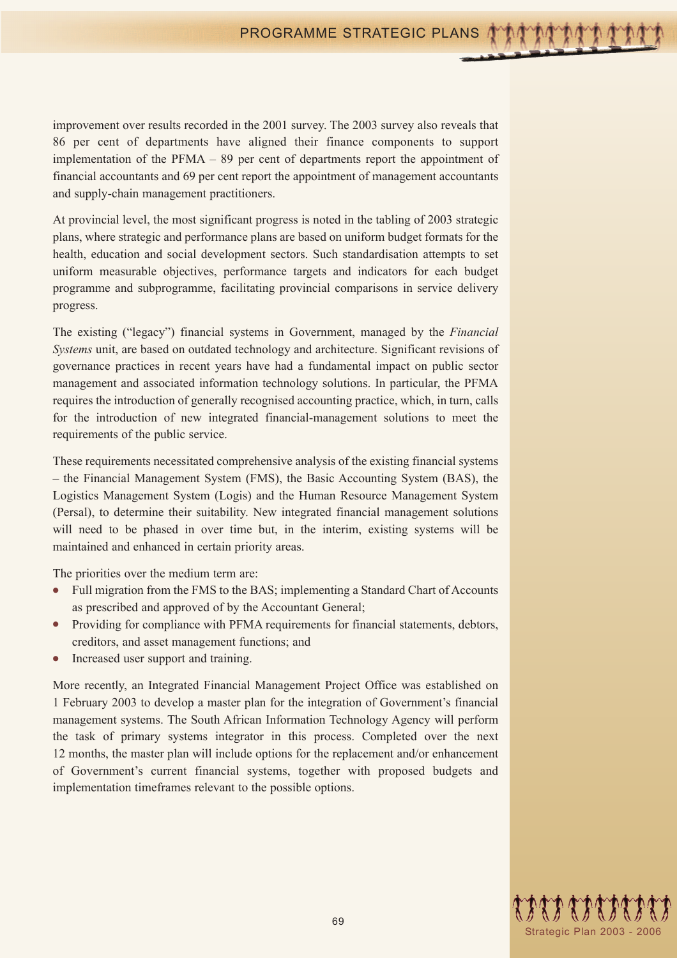improvement over results recorded in the 2001 survey. The 2003 survey also reveals that 86 per cent of departments have aligned their finance components to support implementation of the PFMA – 89 per cent of departments report the appointment of financial accountants and 69 per cent report the appointment of management accountants and supply-chain management practitioners.

At provincial level, the most significant progress is noted in the tabling of 2003 strategic plans, where strategic and performance plans are based on uniform budget formats for the health, education and social development sectors. Such standardisation attempts to set uniform measurable objectives, performance targets and indicators for each budget programme and subprogramme, facilitating provincial comparisons in service delivery progress.

The existing ("legacy") financial systems in Government, managed by the *Financial Systems* unit, are based on outdated technology and architecture. Significant revisions of governance practices in recent years have had a fundamental impact on public sector management and associated information technology solutions. In particular, the PFMA requires the introduction of generally recognised accounting practice, which, in turn, calls for the introduction of new integrated financial-management solutions to meet the requirements of the public service.

These requirements necessitated comprehensive analysis of the existing financial systems – the Financial Management System (FMS), the Basic Accounting System (BAS), the Logistics Management System (Logis) and the Human Resource Management System (Persal), to determine their suitability. New integrated financial management solutions will need to be phased in over time but, in the interim, existing systems will be maintained and enhanced in certain priority areas.

The priorities over the medium term are:

- Full migration from the FMS to the BAS; implementing a Standard Chart of Accounts as prescribed and approved of by the Accountant General;
- Providing for compliance with PFMA requirements for financial statements, debtors, creditors, and asset management functions; and
- Increased user support and training.

More recently, an Integrated Financial Management Project Office was established on 1 February 2003 to develop a master plan for the integration of Government's financial management systems. The South African Information Technology Agency will perform the task of primary systems integrator in this process. Completed over the next 12 months, the master plan will include options for the replacement and/or enhancement of Government's current financial systems, together with proposed budgets and implementation timeframes relevant to the possible options.

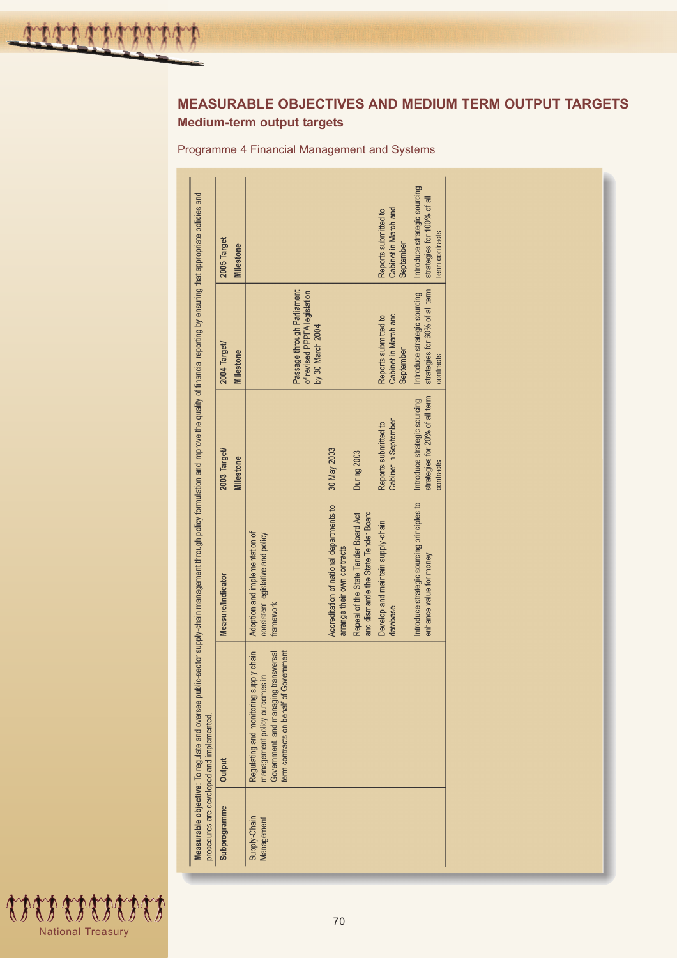# **MEASURABLE OBJECTIVES AND MEDIUM TERM OUTPUT TARGETS Medium-term output targets**

Programme 4 Financial Management and Systems

| Subprogramme               | Output                                                                                                                                                       | Measure/Indicator                                                                | 2003 Target/                                                                | 2004 Target/                                                                   | 2005 Target                                                                  |
|----------------------------|--------------------------------------------------------------------------------------------------------------------------------------------------------------|----------------------------------------------------------------------------------|-----------------------------------------------------------------------------|--------------------------------------------------------------------------------|------------------------------------------------------------------------------|
|                            |                                                                                                                                                              |                                                                                  | <b>Milestone</b>                                                            | <b>Milestone</b>                                                               | <b>Milestone</b>                                                             |
| Supply-Chain<br>Management | term contracts on behalf of Government<br>Regulating and monitoring supply chain<br>Government, and managing transversal<br>Ξ.<br>management policy outcomes | Adoption and implementation of<br>consistent legislative and policy<br>framework |                                                                             |                                                                                |                                                                              |
|                            |                                                                                                                                                              |                                                                                  |                                                                             | Passage through Parliament<br>of revised PPPFA legislation<br>by 30 March 2004 |                                                                              |
|                            |                                                                                                                                                              | Accreditation of national departments to<br>arrange their own contracts          | 30 May 2003                                                                 |                                                                                |                                                                              |
|                            |                                                                                                                                                              | and dismantle the State Tender Board<br>Repeal of the State Tender Board Act     | During 2003                                                                 |                                                                                |                                                                              |
|                            |                                                                                                                                                              | Develop and maintain supply-chain<br>database                                    | Cabinet in September<br>Reports submitted to                                | Cabinet in March and<br>Reports submitted to<br>September                      | Cabinet in March and<br>Reports submitted to<br>September                    |
|                            |                                                                                                                                                              | Introduce strategic sourcing principles to<br>enhance value for money            | strategies for 20% of all term<br>Introduce strategic sourcing<br>contracts | strategies for 60% of all term<br>Introduce strategic sourcing<br>contracts    | Introduce strategic sourcing<br>strategies for 100% of all<br>term contracts |
|                            |                                                                                                                                                              |                                                                                  |                                                                             |                                                                                |                                                                              |
|                            |                                                                                                                                                              |                                                                                  |                                                                             |                                                                                |                                                                              |

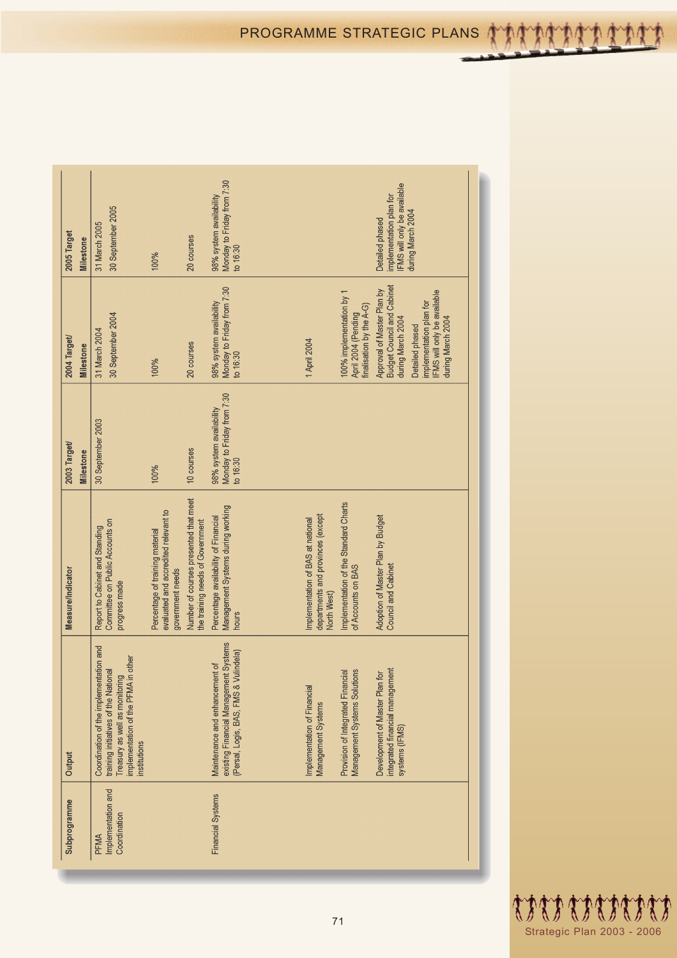| 2005 Target<br><b>Milestone</b>  | 30 September 2005<br>31 March 2005                                                                                                                                      | 100%                                                                                        | 20 courses                                                                | Monday to Friday from 7:30<br>98% system availability<br>to $16:30$                                              |                                                                                       |                                                                             | <b>FMS</b> will only be available<br>implementation plan for<br>during March 2004<br>Detailed phased                                                                                         |
|----------------------------------|-------------------------------------------------------------------------------------------------------------------------------------------------------------------------|---------------------------------------------------------------------------------------------|---------------------------------------------------------------------------|------------------------------------------------------------------------------------------------------------------|---------------------------------------------------------------------------------------|-----------------------------------------------------------------------------|----------------------------------------------------------------------------------------------------------------------------------------------------------------------------------------------|
| 2004 Target/<br>Milestone        | 30 September 2004<br>31 March 2004                                                                                                                                      | 100%                                                                                        | 20 courses                                                                | Monday to Friday from 7:30<br>98% system availability<br>to 16:30                                                | 1 April 2004                                                                          | 100% implementation by 1<br>finalisation by the A-G)<br>April 2004 (Pending | <b>Budget Council and Cabinet</b><br>Approval of Master Plan by<br><b>FMS</b> will only be available<br>implementation plan for<br>during March 2004<br>during March 2004<br>Detailed phased |
| 2003 Target/<br><b>Milestone</b> | 30 September 2003                                                                                                                                                       | 100%                                                                                        | 10 courses                                                                | Monday to Friday from 7:30<br>98% system availability<br>to 16:30                                                |                                                                                       |                                                                             |                                                                                                                                                                                              |
| Measure/Indicator                | Committee on Public Accounts on<br>Report to Cabinet and Standing<br>progress made                                                                                      | evaluated and accredited relevant to<br>Percentage of training material<br>government needs | Number of courses presented that meet<br>the training needs of Government | Management Systems during working<br>Percentage availability of Financial<br>hours                               | departments and provinces (except<br>Implementation of BAS at national<br>North West) | Implementation of the Standard Charts<br>of Accounts on BAS                 | Adoption of Master Plan by Budget<br><b>Council and Cabinet</b>                                                                                                                              |
| Output                           | Coordination of the implementation and<br>implementation of the PFMA in other<br>training initiatives of the National<br>Treasury as well as monitoring<br>institutions |                                                                                             |                                                                           | existing Financial Management Systems<br>(Persal, Logis, BAS, FMS & Vulindela)<br>Maintenance and enhancement of | Implementation of Financial<br>Management Systems                                     | Management Systems Solutions<br>Provision of Integrated Financial           | integrated financial management<br>Development of Master Plan for<br>systems (IFMS)                                                                                                          |
| Subprogramme                     | Implementation and<br>Coordination<br>PFMA                                                                                                                              |                                                                                             |                                                                           | <b>Financial Systems</b>                                                                                         |                                                                                       |                                                                             |                                                                                                                                                                                              |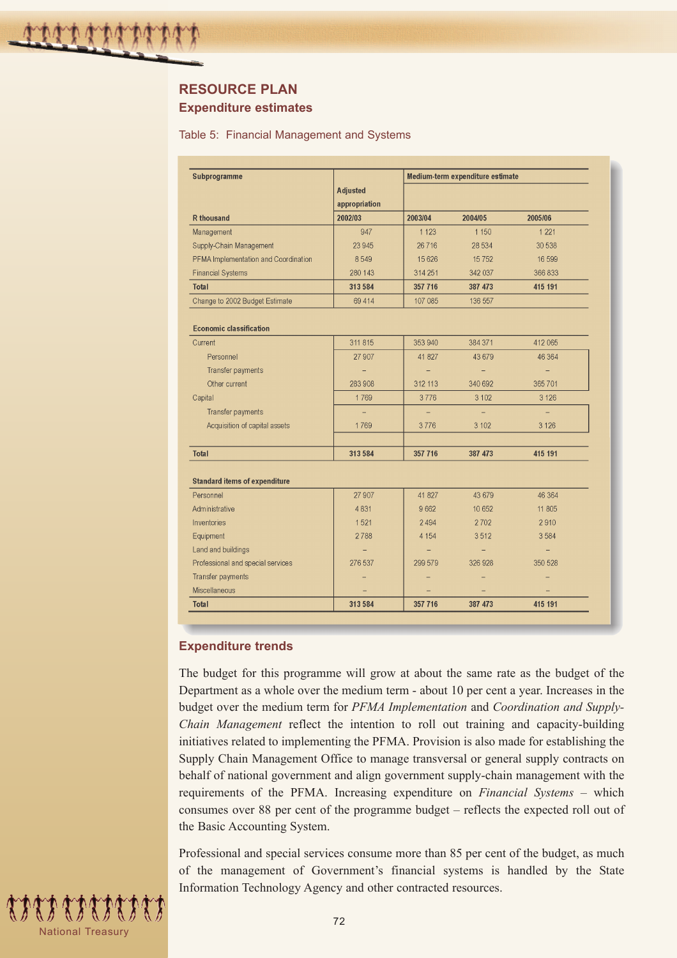# **RESOURCE PLAN Expenditure estimates**

#### Table 5: Financial Management and Systems

| Subprogramme                         |                                  |         | Medium-term expenditure estimate |          |  |  |  |
|--------------------------------------|----------------------------------|---------|----------------------------------|----------|--|--|--|
|                                      | <b>Adjusted</b><br>appropriation |         |                                  |          |  |  |  |
| <b>R</b> thousand                    | 2002/03                          | 2003/04 | 2004/05                          | 2005/06  |  |  |  |
| Management                           | 947                              | 1 1 2 3 | 1 1 5 0                          | 1 2 2 1  |  |  |  |
| Supply-Chain Management              | 23 945                           | 26716   | 28 5 34                          | 30 538   |  |  |  |
| PFMA Implementation and Coordination | 8549                             | 15 6 26 | 15752                            | 16 599   |  |  |  |
| <b>Financial Systems</b>             | 280 143                          | 314 251 | 342 037                          | 366833   |  |  |  |
| <b>Total</b>                         | 313 584                          | 357 716 | 387 473                          | 415 191  |  |  |  |
| Change to 2002 Budget Estimate       | 69 4 14                          | 107 085 | 136 557                          |          |  |  |  |
| <b>Economic classification</b>       |                                  |         |                                  |          |  |  |  |
| Current                              | 311 815                          | 353 940 | 384 371                          | 412 065  |  |  |  |
| Personnel                            | 27 907                           | 41 827  | 43 679                           | 46 364   |  |  |  |
| Transfer payments                    |                                  | -       | -                                | $\equiv$ |  |  |  |
| Other current                        | 283 908                          | 312 113 | 340 692                          | 365701   |  |  |  |
| Capital                              | 1769                             | 3776    | 3 1 0 2                          | 3 1 2 6  |  |  |  |
| Transfer payments                    |                                  |         |                                  |          |  |  |  |
| Acquisition of capital assets        | 1769                             | 3776    | 3 102                            | 3 1 2 6  |  |  |  |
|                                      |                                  |         |                                  |          |  |  |  |
| <b>Total</b>                         | 313 584                          | 357 716 | 387 473                          | 415 191  |  |  |  |
| <b>Standard items of expenditure</b> |                                  |         |                                  |          |  |  |  |
| Personnel                            | 27 907                           | 41 827  | 43 679                           | 46 364   |  |  |  |
| Administrative                       | 4831                             | 9662    | 10 652                           | 11 805   |  |  |  |
| Inventories                          | 1521                             | 2494    | 2702                             | 2910     |  |  |  |
| Equipment                            | 2788                             | 4 1 5 4 | 3512                             | 3584     |  |  |  |
| Land and buildings                   |                                  |         | $\overline{\phantom{0}}$         |          |  |  |  |
| Professional and special services    | 276 537                          | 299 579 | 326 928                          | 350 528  |  |  |  |
| Transfer payments                    |                                  |         |                                  |          |  |  |  |
| Miscellaneous                        |                                  |         |                                  |          |  |  |  |
| <b>Total</b>                         | 313 584                          | 357 716 | 387 473                          | 415 191  |  |  |  |

### **Expenditure trends**

The budget for this programme will grow at about the same rate as the budget of the Department as a whole over the medium term - about 10 per cent a year. Increases in the budget over the medium term for *PFMA Implementation* and *Coordination and Supply-Chain Management* reflect the intention to roll out training and capacity-building initiatives related to implementing the PFMA. Provision is also made for establishing the Supply Chain Management Office to manage transversal or general supply contracts on behalf of national government and align government supply-chain management with the requirements of the PFMA. Increasing expenditure on *Financial Systems* – which consumes over 88 per cent of the programme budget – reflects the expected roll out of the Basic Accounting System.

Professional and special services consume more than 85 per cent of the budget, as much of the management of Government's financial systems is handled by the State Information Technology Agency and other contracted resources.

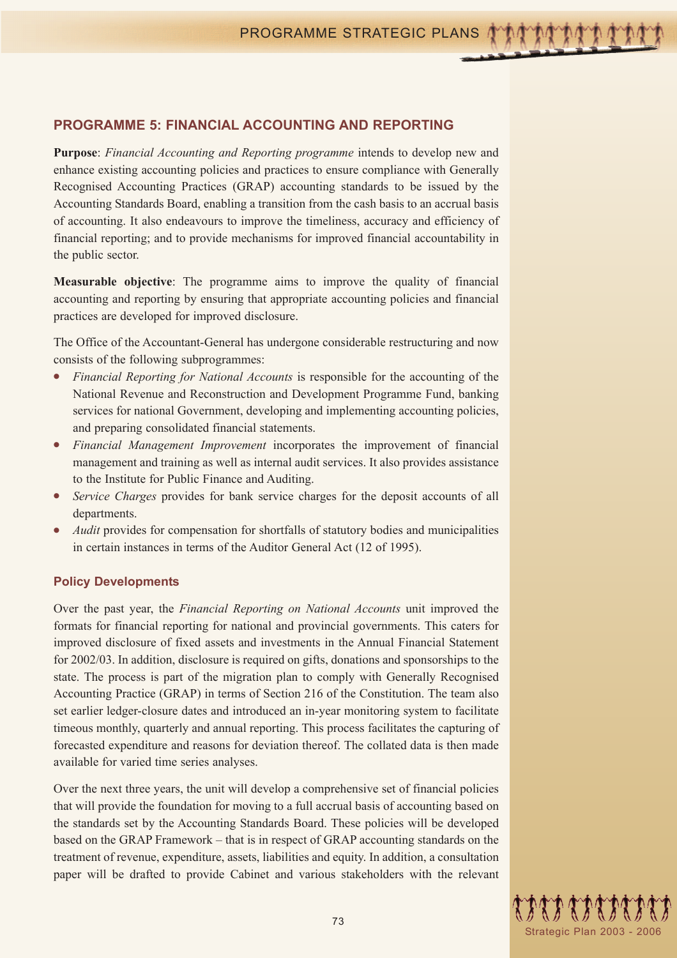## **PROGRAMME 5: FINANCIAL ACCOUNTING AND REPORTING**

**Purpose**: *Financial Accounting and Reporting programme* intends to develop new and enhance existing accounting policies and practices to ensure compliance with Generally Recognised Accounting Practices (GRAP) accounting standards to be issued by the Accounting Standards Board, enabling a transition from the cash basis to an accrual basis of accounting. It also endeavours to improve the timeliness, accuracy and efficiency of financial reporting; and to provide mechanisms for improved financial accountability in the public sector.

**Measurable objective**: The programme aims to improve the quality of financial accounting and reporting by ensuring that appropriate accounting policies and financial practices are developed for improved disclosure.

The Office of the Accountant-General has undergone considerable restructuring and now consists of the following subprogrammes:

- *Financial Reporting for National Accounts* is responsible for the accounting of the National Revenue and Reconstruction and Development Programme Fund, banking services for national Government, developing and implementing accounting policies, and preparing consolidated financial statements.
- Financial Management Improvement incorporates the improvement of financial management and training as well as internal audit services. It also provides assistance to the Institute for Public Finance and Auditing.
- Service Charges provides for bank service charges for the deposit accounts of all departments.
- Audit provides for compensation for shortfalls of statutory bodies and municipalities in certain instances in terms of the Auditor General Act (12 of 1995).

#### **Policy Developments**

Over the past year, the *Financial Reporting on National Accounts* unit improved the formats for financial reporting for national and provincial governments. This caters for improved disclosure of fixed assets and investments in the Annual Financial Statement for 2002/03. In addition, disclosure is required on gifts, donations and sponsorships to the state. The process is part of the migration plan to comply with Generally Recognised Accounting Practice (GRAP) in terms of Section 216 of the Constitution. The team also set earlier ledger-closure dates and introduced an in-year monitoring system to facilitate timeous monthly, quarterly and annual reporting. This process facilitates the capturing of forecasted expenditure and reasons for deviation thereof. The collated data is then made available for varied time series analyses.

Over the next three years, the unit will develop a comprehensive set of financial policies that will provide the foundation for moving to a full accrual basis of accounting based on the standards set by the Accounting Standards Board. These policies will be developed based on the GRAP Framework – that is in respect of GRAP accounting standards on the treatment of revenue, expenditure, assets, liabilities and equity. In addition, a consultation paper will be drafted to provide Cabinet and various stakeholders with the relevant

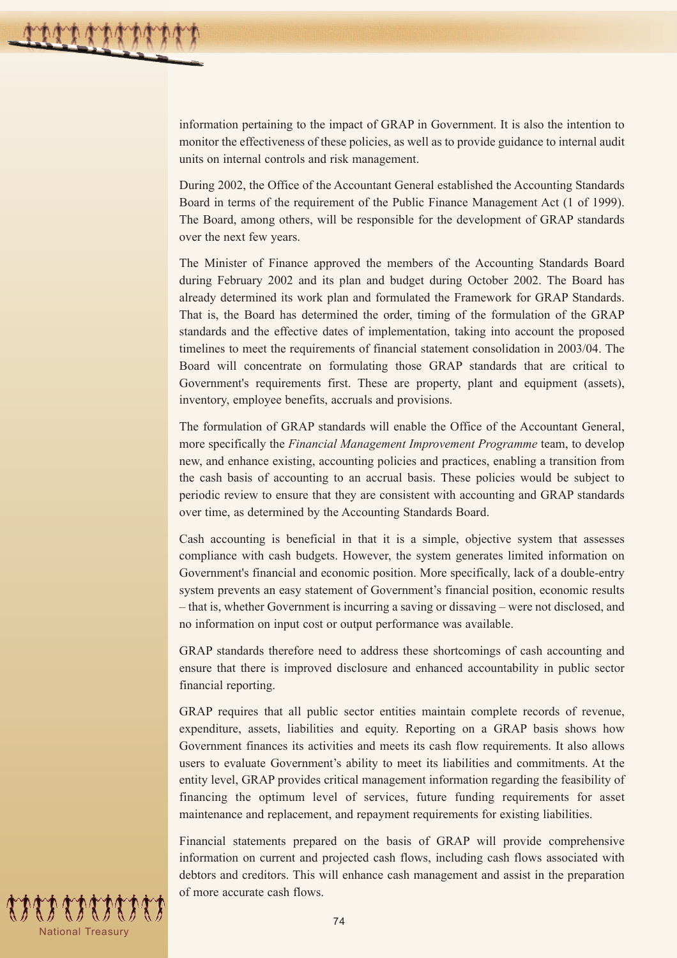information pertaining to the impact of GRAP in Government. It is also the intention to monitor the effectiveness of these policies, as well as to provide guidance to internal audit units on internal controls and risk management.

During 2002, the Office of the Accountant General established the Accounting Standards Board in terms of the requirement of the Public Finance Management Act (1 of 1999). The Board, among others, will be responsible for the development of GRAP standards over the next few years.

The Minister of Finance approved the members of the Accounting Standards Board during February 2002 and its plan and budget during October 2002. The Board has already determined its work plan and formulated the Framework for GRAP Standards. That is, the Board has determined the order, timing of the formulation of the GRAP standards and the effective dates of implementation, taking into account the proposed timelines to meet the requirements of financial statement consolidation in 2003/04. The Board will concentrate on formulating those GRAP standards that are critical to Government's requirements first. These are property, plant and equipment (assets), inventory, employee benefits, accruals and provisions.

The formulation of GRAP standards will enable the Office of the Accountant General, more specifically the *Financial Management Improvement Programme* team, to develop new, and enhance existing, accounting policies and practices, enabling a transition from the cash basis of accounting to an accrual basis. These policies would be subject to periodic review to ensure that they are consistent with accounting and GRAP standards over time, as determined by the Accounting Standards Board.

Cash accounting is beneficial in that it is a simple, objective system that assesses compliance with cash budgets. However, the system generates limited information on Government's financial and economic position. More specifically, lack of a double-entry system prevents an easy statement of Government's financial position, economic results – that is, whether Government is incurring a saving or dissaving – were not disclosed, and no information on input cost or output performance was available.

GRAP standards therefore need to address these shortcomings of cash accounting and ensure that there is improved disclosure and enhanced accountability in public sector financial reporting.

GRAP requires that all public sector entities maintain complete records of revenue, expenditure, assets, liabilities and equity. Reporting on a GRAP basis shows how Government finances its activities and meets its cash flow requirements. It also allows users to evaluate Government's ability to meet its liabilities and commitments. At the entity level, GRAP provides critical management information regarding the feasibility of financing the optimum level of services, future funding requirements for asset maintenance and replacement, and repayment requirements for existing liabilities.

Financial statements prepared on the basis of GRAP will provide comprehensive information on current and projected cash flows, including cash flows associated with debtors and creditors. This will enhance cash management and assist in the preparation of more accurate cash flows.

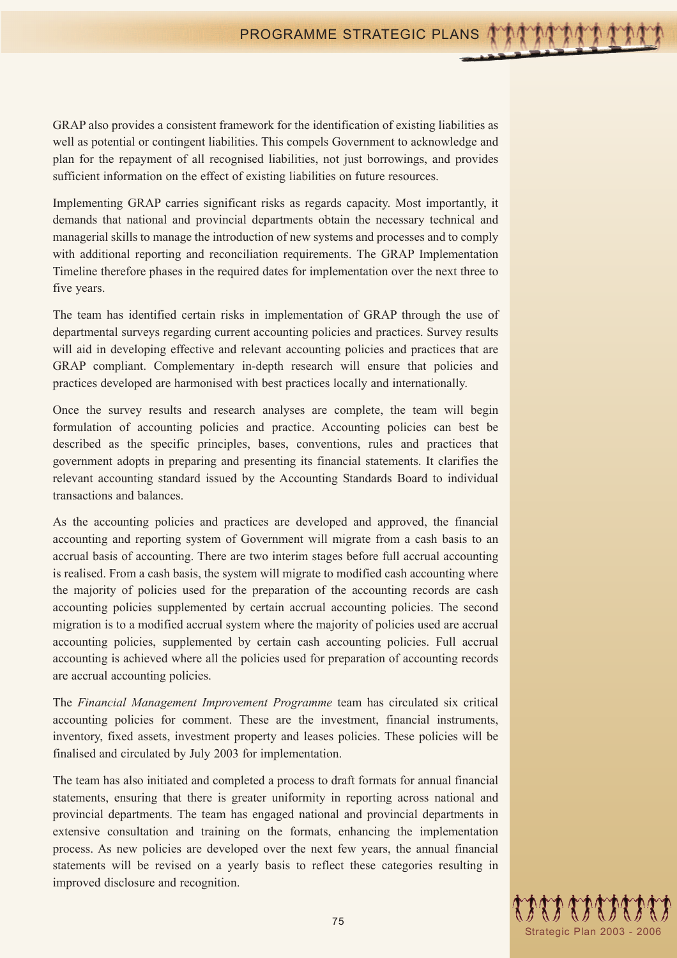GRAP also provides a consistent framework for the identification of existing liabilities as well as potential or contingent liabilities. This compels Government to acknowledge and plan for the repayment of all recognised liabilities, not just borrowings, and provides sufficient information on the effect of existing liabilities on future resources.

Implementing GRAP carries significant risks as regards capacity. Most importantly, it demands that national and provincial departments obtain the necessary technical and managerial skills to manage the introduction of new systems and processes and to comply with additional reporting and reconciliation requirements. The GRAP Implementation Timeline therefore phases in the required dates for implementation over the next three to five years.

The team has identified certain risks in implementation of GRAP through the use of departmental surveys regarding current accounting policies and practices. Survey results will aid in developing effective and relevant accounting policies and practices that are GRAP compliant. Complementary in-depth research will ensure that policies and practices developed are harmonised with best practices locally and internationally.

Once the survey results and research analyses are complete, the team will begin formulation of accounting policies and practice. Accounting policies can best be described as the specific principles, bases, conventions, rules and practices that government adopts in preparing and presenting its financial statements. It clarifies the relevant accounting standard issued by the Accounting Standards Board to individual transactions and balances.

As the accounting policies and practices are developed and approved, the financial accounting and reporting system of Government will migrate from a cash basis to an accrual basis of accounting. There are two interim stages before full accrual accounting is realised. From a cash basis, the system will migrate to modified cash accounting where the majority of policies used for the preparation of the accounting records are cash accounting policies supplemented by certain accrual accounting policies. The second migration is to a modified accrual system where the majority of policies used are accrual accounting policies, supplemented by certain cash accounting policies. Full accrual accounting is achieved where all the policies used for preparation of accounting records are accrual accounting policies.

The *Financial Management Improvement Programme* team has circulated six critical accounting policies for comment. These are the investment, financial instruments, inventory, fixed assets, investment property and leases policies. These policies will be finalised and circulated by July 2003 for implementation.

The team has also initiated and completed a process to draft formats for annual financial statements, ensuring that there is greater uniformity in reporting across national and provincial departments. The team has engaged national and provincial departments in extensive consultation and training on the formats, enhancing the implementation process. As new policies are developed over the next few years, the annual financial statements will be revised on a yearly basis to reflect these categories resulting in improved disclosure and recognition.

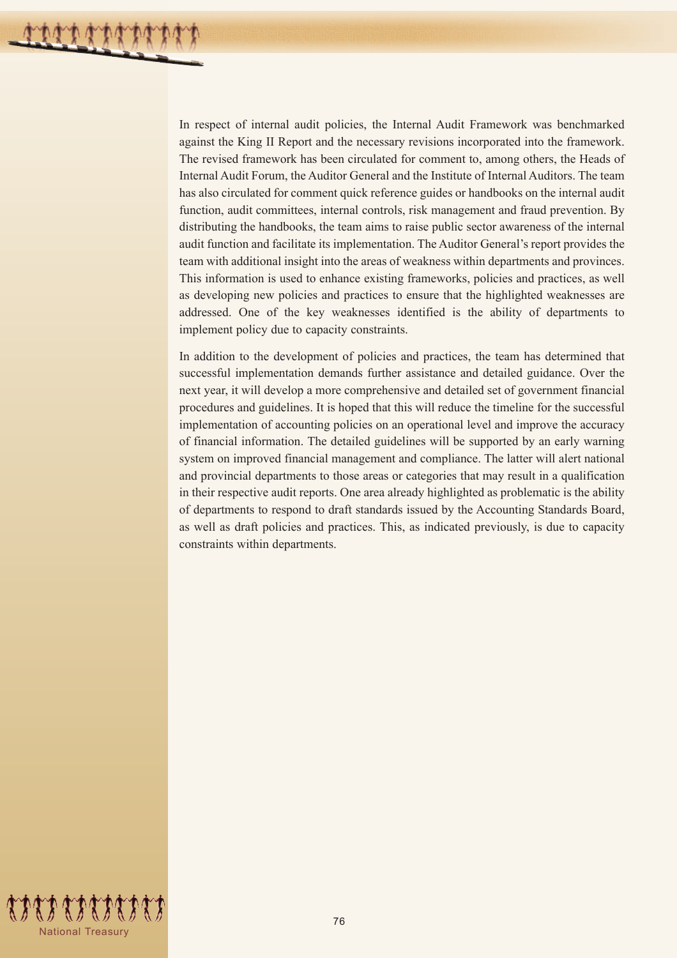In respect of internal audit policies, the Internal Audit Framework was benchmarked against the King II Report and the necessary revisions incorporated into the framework. The revised framework has been circulated for comment to, among others, the Heads of Internal Audit Forum, the Auditor General and the Institute of Internal Auditors. The team has also circulated for comment quick reference guides or handbooks on the internal audit function, audit committees, internal controls, risk management and fraud prevention. By distributing the handbooks, the team aims to raise public sector awareness of the internal audit function and facilitate its implementation. The Auditor General's report provides the team with additional insight into the areas of weakness within departments and provinces. This information is used to enhance existing frameworks, policies and practices, as well as developing new policies and practices to ensure that the highlighted weaknesses are addressed. One of the key weaknesses identified is the ability of departments to implement policy due to capacity constraints.

In addition to the development of policies and practices, the team has determined that successful implementation demands further assistance and detailed guidance. Over the next year, it will develop a more comprehensive and detailed set of government financial procedures and guidelines. It is hoped that this will reduce the timeline for the successful implementation of accounting policies on an operational level and improve the accuracy of financial information. The detailed guidelines will be supported by an early warning system on improved financial management and compliance. The latter will alert national and provincial departments to those areas or categories that may result in a qualification in their respective audit reports. One area already highlighted as problematic is the ability of departments to respond to draft standards issued by the Accounting Standards Board, as well as draft policies and practices. This, as indicated previously, is due to capacity constraints within departments.

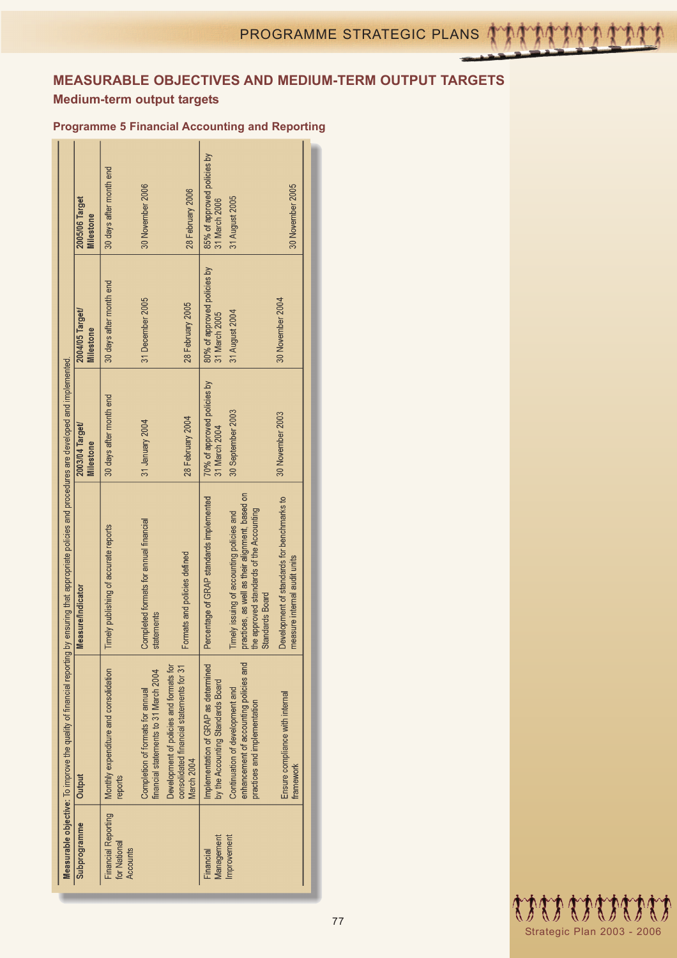# **MEASURABLE OBJECTIVES AND MEDIUM-TERM OUTPUT TARGETS**

# **Medium-term output targets**

## **Programme 5 Financial Accounting and Reporting**

|                                                                                    | 2005/06 Target<br>Milestone         | 30 days after month end                                | 30 November 2006                                                          | 28 February 2006                                                                                  | 85% of approved policies by<br>31 March 2006                              | 31 August 2005                                                                                                                                                     | 30 November 2005                                                           |
|------------------------------------------------------------------------------------|-------------------------------------|--------------------------------------------------------|---------------------------------------------------------------------------|---------------------------------------------------------------------------------------------------|---------------------------------------------------------------------------|--------------------------------------------------------------------------------------------------------------------------------------------------------------------|----------------------------------------------------------------------------|
|                                                                                    | 2004/05 Target/<br><b>Milestone</b> | 30 days after month end                                | 31 December 2005                                                          | 28 February 2005                                                                                  | 80% of approved policies by<br>31 March 2005                              | 31 August 2004                                                                                                                                                     | 30 November 2004                                                           |
|                                                                                    | 2003/04 Target/<br><b>Milestone</b> | 30 days after month end                                | 31 January 2004                                                           | 28 February 2004                                                                                  | 70% of approved policies by<br>31 March 2004                              | 30 September 2003                                                                                                                                                  | 30 November 2003                                                           |
| by ensuring that appropriate policies and procedures are developed and implemented | <b>Measure/Indicator</b>            | Timely publishing of accurate reports                  | Completed formats for annual financial<br>statements                      | Formats and policies defined                                                                      | Percentage of GRAP standards implemented                                  | practices, as well as their alignment, based on<br>the approved standards of the Accounting<br>Timely issuing of accounting policies and<br><b>Standards Board</b> | Development of standards for benchmarks to<br>measure internal audit units |
| Measurable objective: To improve the quality of financial reporting                | Output                              | Monthly expenditure and consolidation<br>reports       | financial statements to 31 March 2004<br>Completion of formats for annual | Development of policies and formats for<br>consolidated financial statements for 31<br>March 2004 | Implementation of GRAP as determined<br>by the Accounting Standards Board | enhancement of accounting policies and<br>Continuation of development and<br>practices and implementation                                                          | Ensure compliance with internal<br>framework                               |
|                                                                                    | Subprogramme                        | <b>Financial Reporting</b><br>for National<br>Accounts |                                                                           |                                                                                                   | Management<br>Financial                                                   | Improvement                                                                                                                                                        |                                                                            |

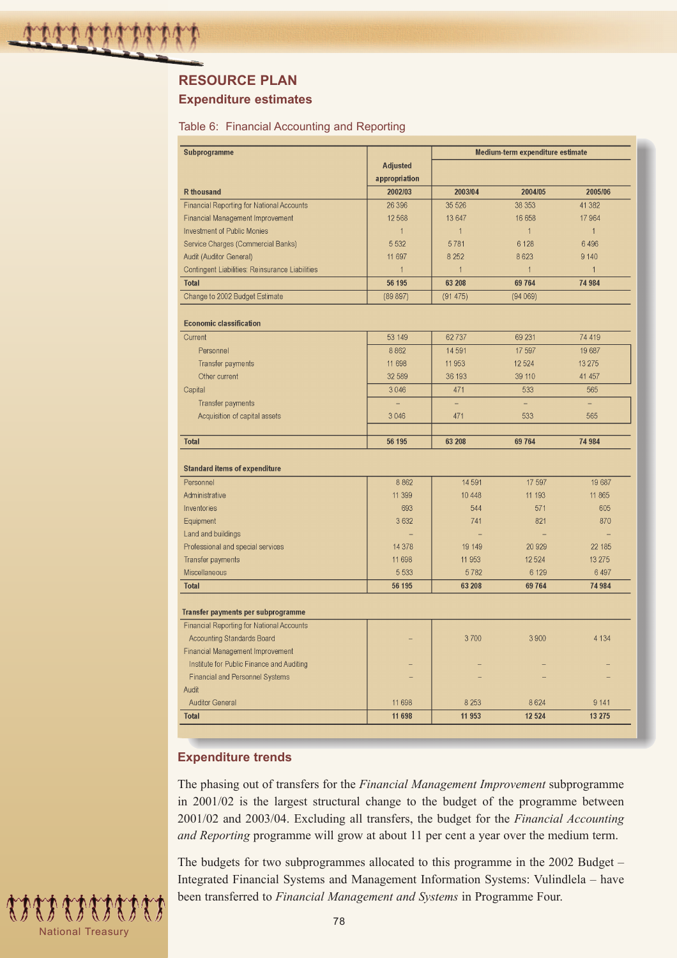# **RESOURCE PLAN**

### **Expenditure estimates**

#### Table 6: Financial Accounting and Reporting

| Subprogramme                                     |                 | Medium-term expenditure estimate |              |                          |  |
|--------------------------------------------------|-----------------|----------------------------------|--------------|--------------------------|--|
|                                                  | <b>Adjusted</b> |                                  |              |                          |  |
|                                                  | appropriation   |                                  |              |                          |  |
| <b>R</b> thousand                                | 2002/03         | 2003/04                          | 2004/05      | 2005/06                  |  |
| <b>Financial Reporting for National Accounts</b> | 26 39 6         | 35 5 26                          | 38 353       | 41 3 8 2                 |  |
| Financial Management Improvement                 | 12 5 68         | 13 647                           | 16 658       | 17964                    |  |
| <b>Investment of Public Monies</b>               | $\mathbf{1}$    | $\mathbf{1}$                     | $\mathbf{1}$ | $\mathbf{1}$             |  |
| Service Charges (Commercial Banks)               | 5 5 3 2         | 5781                             | 6 1 2 8      | 6496                     |  |
| Audit (Auditor General)                          | 11 697          | 8 2 5 2                          | 8623         | 9 1 4 0                  |  |
| Contingent Liabilities: Reinsurance Liabilities  | $\mathbf{1}$    | $\mathbf{1}$                     | $\mathbf{1}$ | $\mathbf{1}$             |  |
| <b>Total</b>                                     | 56 195          | 63 208                           | 69 764       | 74 984                   |  |
| Change to 2002 Budget Estimate                   | (89 897)        | (91475)                          | (94069)      |                          |  |
| <b>Economic classification</b>                   |                 |                                  |              |                          |  |
| Current                                          | 53 149          | 62737                            | 69 231       | 74 419                   |  |
| Personnel                                        | 8862            | 14591                            | 17 597       | 19 687                   |  |
| <b>Transfer payments</b>                         | 11 698          | 11 953                           | 12 5 24      | 13 2 7 5                 |  |
| Other current                                    | 32 589          | 36 193                           | 39 110       | 41 457                   |  |
| Capital                                          | 3046            | 471                              | 533          | 565                      |  |
| <b>Transfer payments</b>                         |                 | $\overline{\phantom{0}}$         | $\equiv$     | $\overline{\phantom{0}}$ |  |
| Acquisition of capital assets                    | 3 0 4 6         | 471                              | 533          | 565                      |  |
|                                                  |                 |                                  |              |                          |  |
| <b>Total</b>                                     | 56 195          | 63 208                           | 69 764       | 74 984                   |  |
|                                                  |                 |                                  |              |                          |  |
| <b>Standard items of expenditure</b>             |                 |                                  |              |                          |  |
| Personnel                                        | 8 8 6 2         | 14 5 91                          | 17 597       | 19 687                   |  |
| Administrative                                   | 11 399          | 10 4 48                          | 11 193       | 11 865                   |  |
| Inventories                                      | 693             | 544                              | 571          | 605                      |  |
| Equipment                                        | 3 6 3 2         | 741                              | 821          | 870                      |  |
| Land and buildings                               |                 |                                  |              |                          |  |
| Professional and special services                | 14 3 78         | 19 14 9                          | 20 9 29      | 22 185                   |  |
| Transfer payments                                | 11 698          | 11 953                           | 12524        | 13 275                   |  |
| Miscellaneous                                    | 5 5 3 3         | 5782                             | 6 1 2 9      | 6 4 9 7                  |  |
| <b>Total</b>                                     | 56 195          | 63 208                           | 69764        | 74 984                   |  |
| Transfer payments per subprogramme               |                 |                                  |              |                          |  |
| Financial Reporting for National Accounts        |                 |                                  |              |                          |  |
| Accounting Standards Board                       |                 | 3700                             | 3900         | 4 1 3 4                  |  |
| Financial Management Improvement                 |                 |                                  |              |                          |  |
| Institute for Public Finance and Auditing        |                 |                                  |              |                          |  |
| <b>Financial and Personnel Systems</b>           |                 |                                  |              |                          |  |
| Audit                                            |                 |                                  |              |                          |  |
| <b>Auditor General</b>                           | 11 698          | 8 2 5 3                          | 8624         | 9 1 4 1                  |  |
| <b>Total</b>                                     | 11 698          | 11 953                           | 12 5 24      | 13 275                   |  |
|                                                  |                 |                                  |              |                          |  |

## **Expenditure trends**

The phasing out of transfers for the *Financial Management Improvement* subprogramme in 2001/02 is the largest structural change to the budget of the programme between 2001/02 and 2003/04. Excluding all transfers, the budget for the *Financial Accounting and Reporting* programme will grow at about 11 per cent a year over the medium term.

The budgets for two subprogrammes allocated to this programme in the 2002 Budget – Integrated Financial Systems and Management Information Systems: Vulindlela – have been transferred to *Financial Management and Systems* in Programme Four.

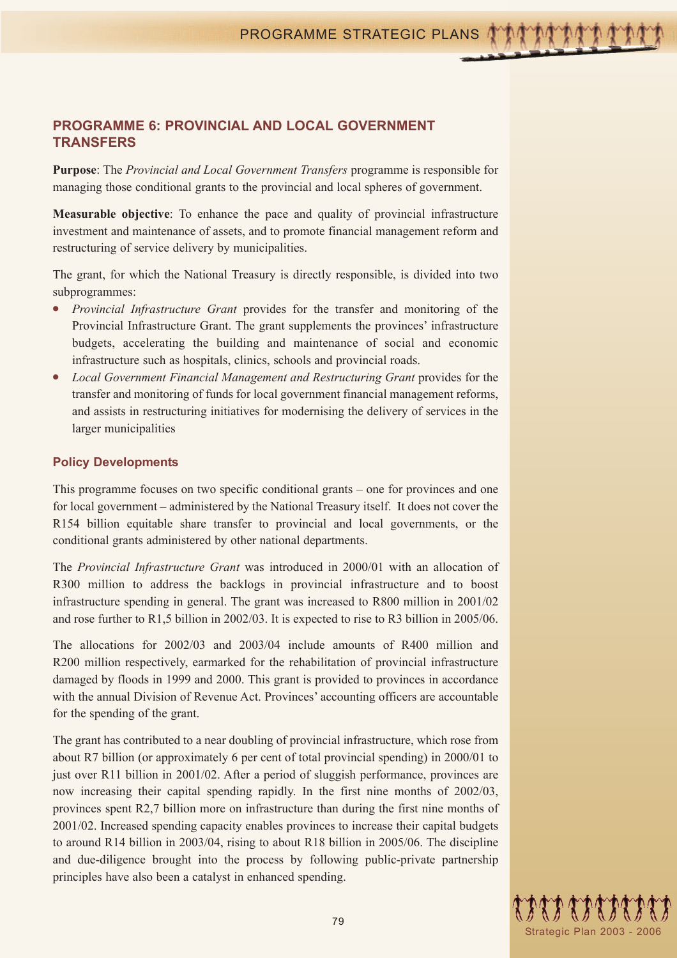# **PROGRAMME 6: PROVINCIAL AND LOCAL GOVERNMENT TRANSFERS**

**Purpose**: The *Provincial and Local Government Transfers* programme is responsible for managing those conditional grants to the provincial and local spheres of government.

**Measurable objective**: To enhance the pace and quality of provincial infrastructure investment and maintenance of assets, and to promote financial management reform and restructuring of service delivery by municipalities.

The grant, for which the National Treasury is directly responsible, is divided into two subprogrammes:

- *Provincial Infrastructure Grant* provides for the transfer and monitoring of the Provincial Infrastructure Grant. The grant supplements the provinces' infrastructure budgets, accelerating the building and maintenance of social and economic infrastructure such as hospitals, clinics, schools and provincial roads.
- *Local Government Financial Management and Restructuring Grant* provides for the transfer and monitoring of funds for local government financial management reforms, and assists in restructuring initiatives for modernising the delivery of services in the larger municipalities

## **Policy Developments**

This programme focuses on two specific conditional grants – one for provinces and one for local government – administered by the National Treasury itself. It does not cover the R154 billion equitable share transfer to provincial and local governments, or the conditional grants administered by other national departments.

The *Provincial Infrastructure Grant* was introduced in 2000/01 with an allocation of R300 million to address the backlogs in provincial infrastructure and to boost infrastructure spending in general. The grant was increased to R800 million in 2001/02 and rose further to R1,5 billion in 2002/03. It is expected to rise to R3 billion in 2005/06.

The allocations for 2002/03 and 2003/04 include amounts of R400 million and R200 million respectively, earmarked for the rehabilitation of provincial infrastructure damaged by floods in 1999 and 2000. This grant is provided to provinces in accordance with the annual Division of Revenue Act. Provinces' accounting officers are accountable for the spending of the grant.

The grant has contributed to a near doubling of provincial infrastructure, which rose from about R7 billion (or approximately 6 per cent of total provincial spending) in 2000/01 to just over R11 billion in 2001/02. After a period of sluggish performance, provinces are now increasing their capital spending rapidly. In the first nine months of 2002/03, provinces spent R2,7 billion more on infrastructure than during the first nine months of 2001/02. Increased spending capacity enables provinces to increase their capital budgets to around R14 billion in 2003/04, rising to about R18 billion in 2005/06. The discipline and due-diligence brought into the process by following public-private partnership principles have also been a catalyst in enhanced spending.